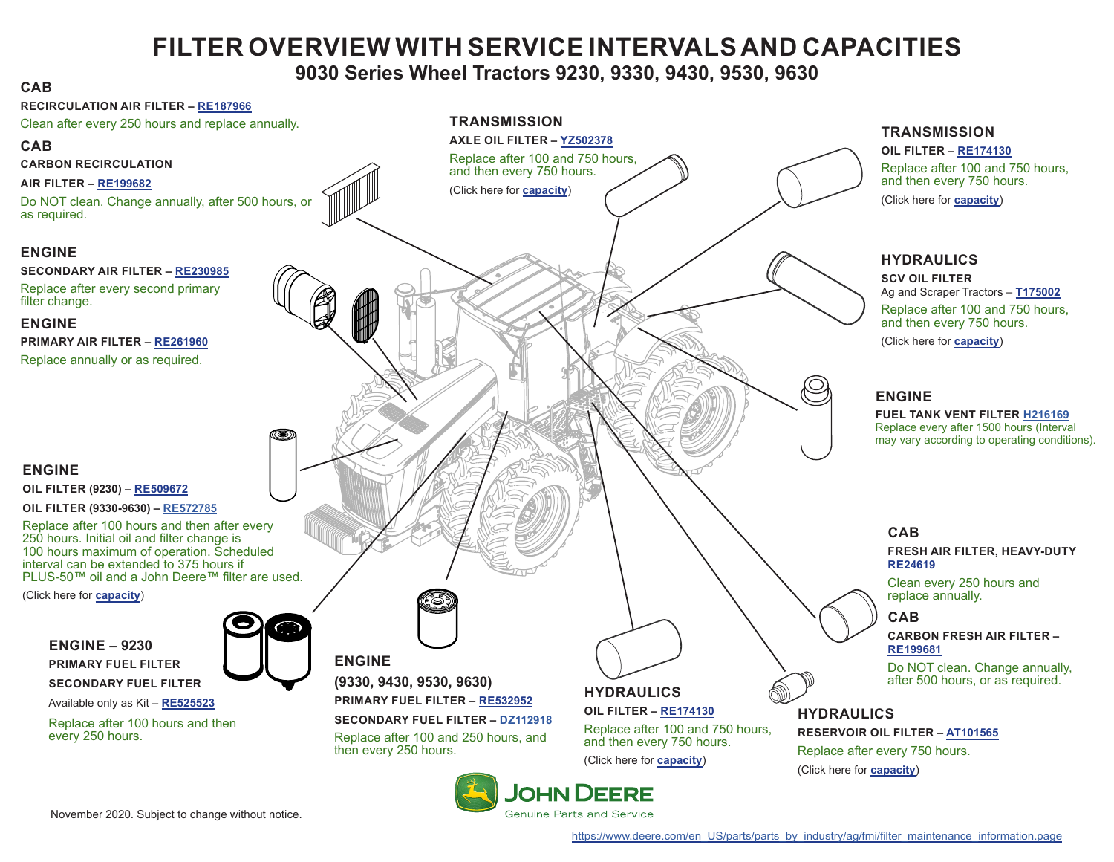# **FILTER OVERVIEW WITH SERVICE INTERVALS AND CAPACITIES**

**9030 Series Wheel Tractors 9230, 9330, 9430, 9530, 9630**

#### **RECIRCULATION AIR FILTER – [RE187966](https://jdparts.deere.com/servlet/com.deere.u90.jdparts.view.servlets.partinfocontroller.PartDetails?screenName=JDSearch&&partSearchNumber=RE187966) TRANSMISSION** Clean after every 250 hours and replace annually. **TRANSMISSION AXLE OIL FILTER – [YZ502378](https://jdparts.deere.com/servlet/com.deere.u90.jdparts.view.servlets.partinfocontroller.PartDetails?screenName=JDSearch&&partSearchNumber=YZ502378) CAB OIL FILTER – [RE174130](https://jdparts.deere.com/servlet/com.deere.u90.jdparts.view.servlets.partinfocontroller.PartDetails?screenName=JDSearch&&partSearchNumber=RE174130)** Replace after 100 and 750 hours, **CARBON RECIRCULATION** Replace after 100 and 750 hours, and then every 750 hours. and then every 750 hours. **AIR FILTER – [RE199682](https://jdparts.deere.com/servlet/com.deere.u90.jdparts.view.servlets.partinfocontroller.PartDetails?screenName=JDSearch&&partSearchNumber=RE199682)** (Click here for **[capacity](#page-1-0)**) Do NOT clean. Change annually, after 500 hours, or (Click here for **[capacity](#page-1-0)**) as required. **ENGINE HYDRAULICS SECONDARY AIR FILTER – [RE230985](https://jdparts.deere.com/servlet/com.deere.u90.jdparts.view.servlets.partinfocontroller.PartDetails?screenName=JDSearch&&partSearchNumber=RE230985) SCV OIL FILTER**  Replace after every second primary Ag and Scraper Tractors – **[T175002](https://jdparts.deere.com/servlet/com.deere.u90.jdparts.view.servlets.partinfocontroller.PartDetails?screenName=JDSearch&&partSearchNumber=T175002)** filter change. Replace after 100 and 750 hours, and then every 750 hours. **ENGINE** (Click here for **[capacity](#page-1-0)**) **PRIMARY AIR FILTER – [RE261960](https://jdparts.deere.com/servlet/com.deere.u90.jdparts.view.servlets.partinfocontroller.PartDetails?screenName=JDSearch&&partSearchNumber=RE261960)** Replace annually or as required. **ENGINE FUEL TANK VENT FILTER [H216169](https://jdparts.deere.com/servlet/com.deere.u90.jdparts.view.servlets.partinfocontroller.PartDetails?screenName=JDSearch&&partSearchNumber=H216169)** Replace every after 1500 hours (Interval may vary according to operating conditions).**ENGINE OIL FILTER (9230) – [RE509672](https://jdparts.deere.com/servlet/com.deere.u90.jdparts.view.servlets.partinfocontroller.PartDetails?screenName=JDSearch&&partSearchNumber=RE509672) OIL FILTER (9330-9630) – [RE572785](https://jdparts.deere.com/servlet/com.deere.u90.jdparts.view.servlets.partinfocontroller.PartDetails?screenName=JDSearch&&partSearchNumber=RE572785)** Replace after 100 hours and then after every **CAB** 250 hours. Initial oil and filter change is 100 hours maximum of operation. Scheduled **FRESH AIR FILTER, HEAVY-DUTY** interval can be extended to 375 hours if **[RE24619](https://jdparts.deere.com/servlet/com.deere.u90.jdparts.view.servlets.partinfocontroller.PartDetails?screenName=JDSearch&&partSearchNumber=RE24619)** PLUS-50™ oil and a John Deere™ filter are used. Clean every 250 hours and replace annually. (Click here for **[capacity](#page-1-0)**) **CAB CARBON FRESH AIR FILTER – ENGINE – 9230 [RE199681](https://jdparts.deere.com/servlet/com.deere.u90.jdparts.view.servlets.partinfocontroller.PartDetails?screenName=JDSearch&&partSearchNumber=RE199681) ENGINE PRIMARY FUEL FILTER** Do NOT clean. Change annually, after 500 hours, or as required. **(9330, 9430, 9530, 9630) SECONDARY FUEL FILTER HYDRAULICS PRIMARY FUEL FILTER – [RE532952](https://jdparts.deere.com/servlet/com.deere.u90.jdparts.view.servlets.partinfocontroller.PartDetails?screenName=JDSearch&&partSearchNumber=RE532952)** Available only as Kit – **[RE525523](https://jdparts.deere.com/servlet/com.deere.u90.jdparts.view.servlets.partinfocontroller.PartDetails?screenName=JDSearch&&partSearchNumber=RE525523) OIL FILTER – [RE174130](https://jdparts.deere.com/servlet/com.deere.u90.jdparts.view.servlets.partinfocontroller.PartDetails?screenName=JDSearch&&partSearchNumber=RE174130) HYDRAULICS SECONDARY FUEL FILTER – [DZ112918](https://jdparts.deere.com/servlet/com.deere.u90.jdparts.view.servlets.partinfocontroller.PartDetails?screenName=JDSearch&&partSearchNumber=DZ112918)** Replace after 100 hours and then Replace after 100 and 750 hours, **RESERVOIR OIL FILTER – [AT101565](https://jdparts.deere.com/servlet/com.deere.u90.jdparts.view.servlets.partinfocontroller.PartDetails?screenName=JDSearch&&partSearchNumber=AT101565)** every 250 hours. Replace after 100 and 250 hours, and and then every 750 hours. then every 250 hours. Replace after every 750 hours. (Click here for **[capacity](#page-1-0)**) (Click here for **[capacity](#page-1-0)**) **JOHN DEERE**

**Genuine Parts and Service** 

<span id="page-0-0"></span>**CAB**

[https://www.deere.com/en\\_US/parts/parts\\_by\\_industry/ag/fmi/filter\\_maintenance\\_information.page](https://www.deere.com/en_US/parts/parts_by_industry/ag/fmi/filter_maintenance_information.page)